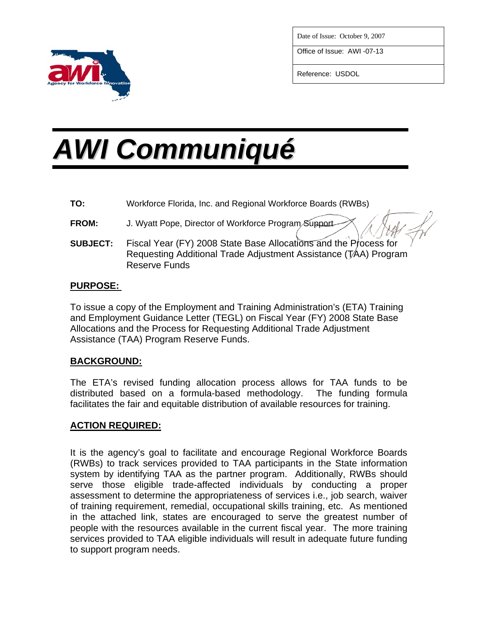

Date of Issue: October 9, 2007

Office of Issue: AWI -07-13

Reference: USDOL

# *AWI Communiqué*

- **TO:** Workforce Florida, Inc. and Regional Workforce Boards (RWBs)
- **FROM:** J. Wyatt Pope, Director of Workforce Program Support
- **SUBJECT:** Fiscal Year (FY) 2008 State Base Allocations and the Process for Requesting Additional Trade Adjustment Assistance (TAA) Program Reserve Funds

### **PURPOSE:**

To issue a copy of the Employment and Training Administration's (ETA) Training and Employment Guidance Letter (TEGL) on Fiscal Year (FY) 2008 State Base Allocations and the Process for Requesting Additional Trade Adjustment Assistance (TAA) Program Reserve Funds.

# **BACKGROUND:**

The ETA's revised funding allocation process allows for TAA funds to be distributed based on a formula-based methodology. The funding formula facilitates the fair and equitable distribution of available resources for training.

#### **ACTION REQUIRED:**

It is the agency's goal to facilitate and encourage Regional Workforce Boards (RWBs) to track services provided to TAA participants in the State information system by identifying TAA as the partner program. Additionally, RWBs should serve those eligible trade-affected individuals by conducting a proper assessment to determine the appropriateness of services i.e., job search, waiver of training requirement, remedial, occupational skills training, etc. As mentioned in the attached link, states are encouraged to serve the greatest number of people with the resources available in the current fiscal year. The more training services provided to TAA eligible individuals will result in adequate future funding to support program needs.